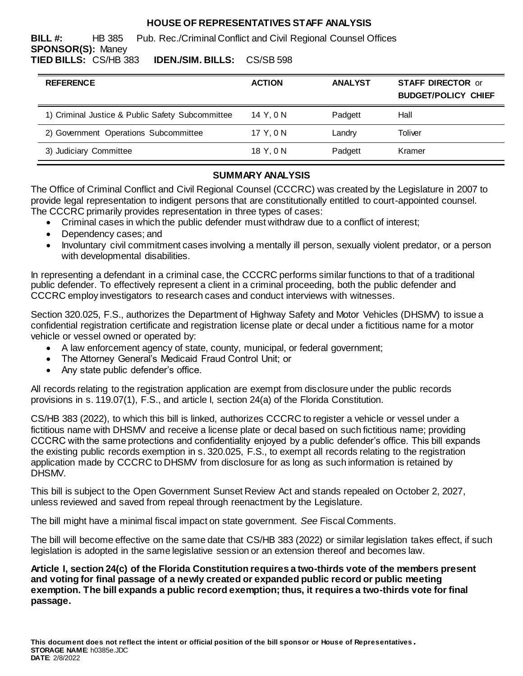### **HOUSE OF REPRESENTATIVES STAFF ANALYSIS**

**BILL #:** HB 385 Pub. Rec./Criminal Conflict and Civil Regional Counsel Offices **SPONSOR(S):** Maney **TIED BILLS:** CS/HB 383 **IDEN./SIM. BILLS:** CS/SB 598

| <b>REFERENCE</b>                                 | <b>ACTION</b> | <b>ANALYST</b> | <b>STAFF DIRECTOR or</b><br><b>BUDGET/POLICY CHIEF</b> |
|--------------------------------------------------|---------------|----------------|--------------------------------------------------------|
| 1) Criminal Justice & Public Safety Subcommittee | 14 Y.ON       | Padgett        | Hall                                                   |
| 2) Government Operations Subcommittee            | 17 Y.ON       | Landry         | Toliver                                                |
| 3) Judiciary Committee                           | 18 Y.ON       | Padgett        | Kramer                                                 |

## **SUMMARY ANALYSIS**

The Office of Criminal Conflict and Civil Regional Counsel (CCCRC) was created by the Legislature in 2007 to provide legal representation to indigent persons that are constitutionally entitled to court-appointed counsel. The CCCRC primarily provides representation in three types of cases:

- Criminal cases in which the public defender must withdraw due to a conflict of interest;
- Dependency cases; and
- Involuntary civil commitment cases involving a mentally ill person, sexually violent predator, or a person with developmental disabilities.

In representing a defendant in a criminal case, the CCCRC performs similar functions to that of a traditional public defender. To effectively represent a client in a criminal proceeding, both the public defender and CCCRC employ investigators to research cases and conduct interviews with witnesses.

Section 320.025, F.S., authorizes the Department of Highway Safety and Motor Vehicles (DHSMV) to issue a confidential registration certificate and registration license plate or decal under a fictitious name for a motor vehicle or vessel owned or operated by:

- A law enforcement agency of state, county, municipal, or federal government;
- The Attorney General's Medicaid Fraud Control Unit; or
- Any state public defender's office.

All records relating to the registration application are exempt from disclosure under the public records provisions in s. 119.07(1), F.S., and article I, section 24(a) of the Florida Constitution.

CS/HB 383 (2022), to which this bill is linked, authorizes CCCRC to register a vehicle or vessel under a fictitious name with DHSMV and receive a license plate or decal based on such fictitious name; providing CCCRC with the same protections and confidentiality enjoyed by a public defender's office. This bill expands the existing public records exemption in s. 320.025, F.S., to exempt all records relating to the registration application made by CCCRC to DHSMV from disclosure for as long as such information is retained by DHSMV.

This bill is subject to the Open Government Sunset Review Act and stands repealed on October 2, 2027, unless reviewed and saved from repeal through reenactment by the Legislature.

The bill might have a minimal fiscal impact on state government. *See* Fiscal Comments.

The bill will become effective on the same date that CS/HB 383 (2022) or similar legislation takes effect, if such legislation is adopted in the same legislative session or an extension thereof and becomes law.

**Article I, section 24(c) of the Florida Constitution requires a two-thirds vote of the members present and voting for final passage of a newly created or expanded public record or public meeting exemption. The bill expands a public record exemption; thus, it requires a two-thirds vote for final passage.**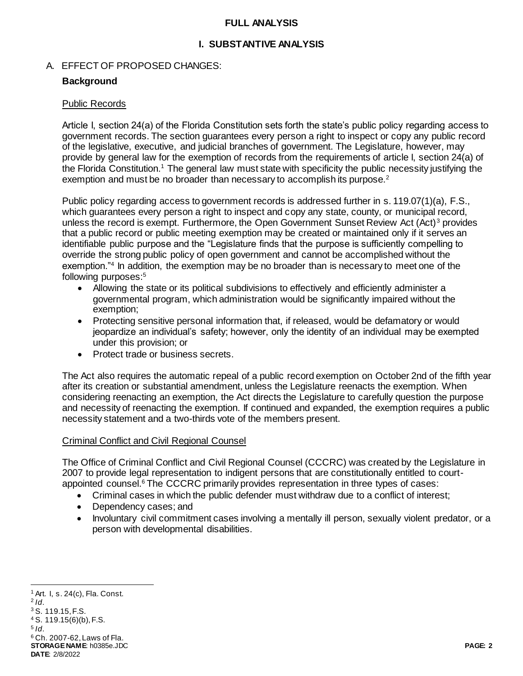#### **FULL ANALYSIS**

### **I. SUBSTANTIVE ANALYSIS**

#### A. EFFECT OF PROPOSED CHANGES:

#### **Background**

#### Public Records

Article I, section 24(a) of the Florida Constitution sets forth the state's public policy regarding access to government records. The section guarantees every person a right to inspect or copy any public record of the legislative, executive, and judicial branches of government. The Legislature, however, may provide by general law for the exemption of records from the requirements of article I, section 24(a) of the Florida Constitution.<sup>1</sup> The general law must state with specificity the public necessity justifying the exemption and must be no broader than necessary to accomplish its purpose.<sup>2</sup>

Public policy regarding access to government records is addressed further in s. 119.07(1)(a), F.S., which guarantees every person a right to inspect and copy any state, county, or municipal record, unless the record is exempt. Furthermore, the Open Government Sunset Review Act (Act)<sup>3</sup> provides that a public record or public meeting exemption may be created or maintained only if it serves an identifiable public purpose and the "Legislature finds that the purpose is sufficiently compelling to override the strong public policy of open government and cannot be accomplished without the exemption."<sup>4</sup> In addition, the exemption may be no broader than is necessary to meet one of the following purposes:<sup>5</sup>

- Allowing the state or its political subdivisions to effectively and efficiently administer a governmental program, which administration would be significantly impaired without the exemption;
- Protecting sensitive personal information that, if released, would be defamatory or would jeopardize an individual's safety; however, only the identity of an individual may be exempted under this provision; or
- Protect trade or business secrets.

The Act also requires the automatic repeal of a public record exemption on October 2nd of the fifth year after its creation or substantial amendment, unless the Legislature reenacts the exemption. When considering reenacting an exemption, the Act directs the Legislature to carefully question the purpose and necessity of reenacting the exemption. If continued and expanded, the exemption requires a public necessity statement and a two-thirds vote of the members present.

#### Criminal Conflict and Civil Regional Counsel

The Office of Criminal Conflict and Civil Regional Counsel (CCCRC) was created by the Legislature in 2007 to provide legal representation to indigent persons that are constitutionally entitled to courtappointed counsel.<sup>6</sup> The CCCRC primarily provides representation in three types of cases:

- Criminal cases in which the public defender must withdraw due to a conflict of interest;
- Dependency cases; and
- Involuntary civil commitment cases involving a mentally ill person, sexually violent predator, or a person with developmental disabilities.

**STORAGE NAME**: h0385e.JDC **PAGE: 2 DATE**: 2/8/2022 <sup>1</sup> Art. I, s. 24(c), Fla. Const. 2 *Id*. <sup>3</sup> S. 119.15, F.S. <sup>4</sup> S. 119.15(6)(b), F.S. 5 *Id*. <sup>6</sup> Ch. 2007-62, Laws of Fla.

l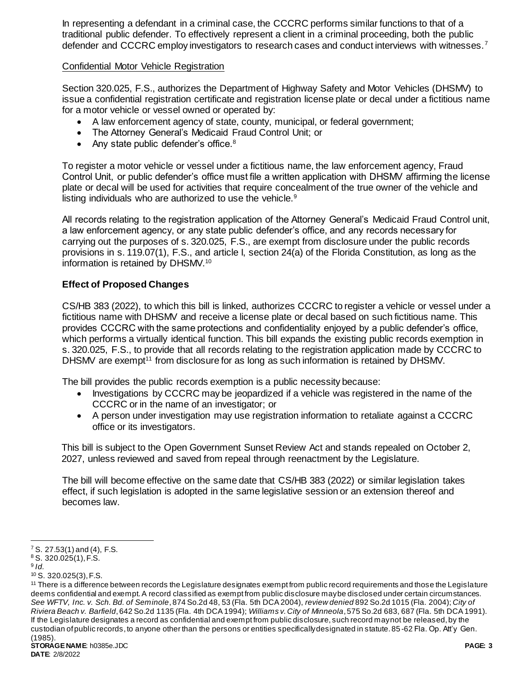In representing a defendant in a criminal case, the CCCRC performs similar functions to that of a traditional public defender. To effectively represent a client in a criminal proceeding, both the public defender and CCCRC employ investigators to research cases and conduct interviews with witnesses.<sup>7</sup>

### Confidential Motor Vehicle Registration

Section 320.025, F.S., authorizes the Department of Highway Safety and Motor Vehicles (DHSMV) to issue a confidential registration certificate and registration license plate or decal under a fictitious name for a motor vehicle or vessel owned or operated by:

- A law enforcement agency of state, county, municipal, or federal government;
- The Attorney General's Medicaid Fraud Control Unit; or
- Any state public defender's office. $8$

To register a motor vehicle or vessel under a fictitious name, the law enforcement agency, Fraud Control Unit, or public defender's office must file a written application with DHSMV affirming the license plate or decal will be used for activities that require concealment of the true owner of the vehicle and listing individuals who are authorized to use the vehicle.<sup>9</sup>

All records relating to the registration application of the Attorney General's Medicaid Fraud Control unit, a law enforcement agency, or any state public defender's office, and any records necessary for carrying out the purposes of s. 320.025, F.S., are exempt from disclosure under the public records provisions in s. 119.07(1), F.S., and article I, section 24(a) of the Florida Constitution, as long as the information is retained by DHSMV.<sup>10</sup>

# **Effect of Proposed Changes**

CS/HB 383 (2022), to which this bill is linked, authorizes CCCRC to register a vehicle or vessel under a fictitious name with DHSMV and receive a license plate or decal based on such fictitious name. This provides CCCRC with the same protections and confidentiality enjoyed by a public defender's office, which performs a virtually identical function. This bill expands the existing public records exemption in s. 320.025, F.S., to provide that all records relating to the registration application made by CCCRC to DHSMV are exempt<sup>11</sup> from disclosure for as long as such information is retained by DHSMV.

The bill provides the public records exemption is a public necessity because:

- Investigations by CCCRC may be jeopardized if a vehicle was registered in the name of the CCCRC or in the name of an investigator; or
- A person under investigation may use registration information to retaliate against a CCCRC office or its investigators.

This bill is subject to the Open Government Sunset Review Act and stands repealed on October 2, 2027, unless reviewed and saved from repeal through reenactment by the Legislature.

The bill will become effective on the same date that CS/HB 383 (2022) or similar legislation takes effect, if such legislation is adopted in the same legislative session or an extension thereof and becomes law.

l  $7$  S. 27.53(1) and (4), F.S.

<sup>8</sup> S. 320.025(1), F.S.

<sup>9</sup> *Id.*

<sup>10</sup> S. 320.025(3), F.S.

<sup>&</sup>lt;sup>11</sup> There is a difference between records the Legislature designates exempt from public record requirements and those the Legislature deems confidential and exempt. A record classified as exempt from public disclosure may be disclosed under certain circumstances. *See WFTV, Inc. v. Sch. Bd. of Seminole*, 874 So.2d 48, 53 (Fla. 5th DCA 2004), *review denied* 892 So.2d 1015 (Fla. 2004); *City of Riviera Beach v. Barfield*, 642 So.2d 1135 (Fla. 4th DCA 1994); *Williams v. City of Minneola*, 575 So.2d 683, 687 (Fla. 5th DCA 1991). If the Legislature designates a record as confidential and exempt from public disclosure, such record may not be released, by the custodian of public records, to anyone other than the persons or entities specifically designated in statute. 85 -62 Fla. Op. Att'y Gen. (1985).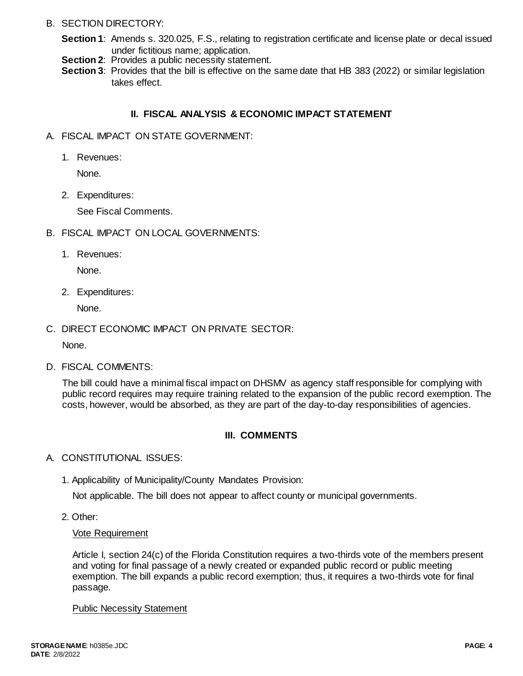### B. SECTION DIRECTORY:

- **Section 1**: Amends s. 320.025, F.S., relating to registration certificate and license plate or decal issued under fictitious name; application.
- **Section 2:** Provides a public necessity statement.
- **Section 3**: Provides that the bill is effective on the same date that HB 383 (2022) or similar legislation takes effect.

### **II. FISCAL ANALYSIS & ECONOMIC IMPACT STATEMENT**

- A. FISCAL IMPACT ON STATE GOVERNMENT:
	- 1. Revenues:

None.

2. Expenditures:

See Fiscal Comments.

- B. FISCAL IMPACT ON LOCAL GOVERNMENTS:
	- 1. Revenues:

None.

2. Expenditures:

None.

C. DIRECT ECONOMIC IMPACT ON PRIVATE SECTOR:

None.

D. FISCAL COMMENTS:

The bill could have a minimal fiscal impact on DHSMV as agency staff responsible for complying with public record requires may require training related to the expansion of the public record exemption. The costs, however, would be absorbed, as they are part of the day-to-day responsibilities of agencies.

# **III. COMMENTS**

- A. CONSTITUTIONAL ISSUES:
	- 1. Applicability of Municipality/County Mandates Provision:

Not applicable. The bill does not appear to affect county or municipal governments.

2. Other:

### Vote Requirement

Article I, section 24(c) of the Florida Constitution requires a two-thirds vote of the members present and voting for final passage of a newly created or expanded public record or public meeting exemption. The bill expands a public record exemption; thus, it requires a two-thirds vote for final passage.

Public Necessity Statement